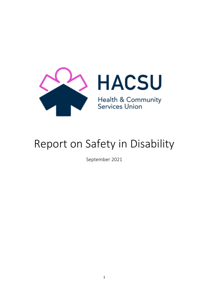

# Report on Safety in Disability

September 2021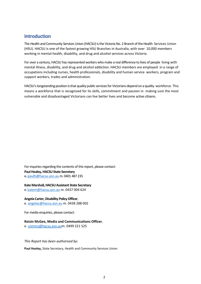# **Introduction**

The Health and Community Services Union (HACSU) is the Victoria No. 2 Branch of the Health Services Union (HSU). HACSU is one of the fastest growing HSU Branches in Australia, with over 10,000 members working in mental health, disability, and drug and alcohol services across Victoria.

For over a century, HACSU has represented workers who make a real difference to lives of people living with mental illness, disability, and drug and alcohol addiction. HACSU members are employed in a range of occupations including nurses, health professionals, disability and human service workers, program and support workers, trades and administration.

HACSU's longstanding position is that quality public services for Victorians depend on a quality workforce. This means a workforce that is recognised for its skills, commitment and passion in making sure the most vulnerable and disadvantaged Victorians can live better lives and become active citizens.

For inquiries regarding the contents of this report, please contact: **Paul Healey, HACSU State Secretary**  e**.** paulh@hacsu.asn.au m. 0401 487 235

## **Kate Marshall, HACSU Assistant State Secretary**

e. katem@hacsu.asn.au m. 0437 004 624

#### **Angela Carter, Disability Policy Officer**,

e[. angelac@hacsu.asn.au](mailto:angelac@hacsu.asn.au) m. 0438 288 002

For media enquiries, please contact:

#### **Roisin McGee, Media and Communications Officer**,

e[. comms@hacsu.asn.aum](mailto:comms@hacsu.asn.au). 0499 221 525

*This Report has been authorised by:* 

**Paul Healey,** State Secretary, Health and Community Services Union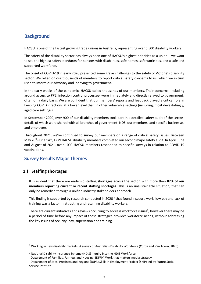# **Background**

HACSU is one of the fastest growing trade unions in Australia, representing over 6,500 disability workers.

The safety of the disability sector has always been one of HACSU's highest priorities as a union – we want to see the highest safety standards for persons with disabilities, safe homes, safe worksites, and a safe and supported workforce.

The onset of COVID-19 in early 2020 presented some grave challenges to the safety of Victoria's disability sector. We relied on our thousands of members to report critical safety concerns to us, which we in turn used to inform our advocacy and lobbying to government.

In the early weeks of the pandemic, HACSU called thousands of our members. Their concerns- including around access to PPE, infection control processes- were immediately and directly relayed to government; often on a daily basis. We are confident that our members' reports and feedback played a critical role in keeping COVID infections at a lower level than in other vulnerable settings (including, most devastatingly, aged care settings).

In September 2020, over 900 of our disability members took part in a detailed safety audit of the sectordetails of which were shared with all branches of government, NDS, our members, and specific businesses and employers.

Throughout 2021, we've continued to survey our members on a range of critical safety issues. Between May 20<sup>th</sup>-June 14<sup>th</sup>, 1279 HACSU disability members completed our second major safety audit. In April, June and August of 2021, over 1000 HACSU members responded to specific surveys in relation to COVID-19 vaccinations.

# **Survey Results Major Themes**

## **1.) Staffing shortages**

It is evident that there are endemic staffing shortages across the sector, with more than **87% of our members reporting current or recent staffing shortages**. This is an unsustainable situation, that can only be remedied through a unified industry stakeholders approach.

This finding is supported by research conducted in 2020  $^1$  that found insecure work, low pay and lack of training was a factor in attracting and retaining disability workers.

There are current initiatives and reviews occurring to address workforce issues<sup>2</sup>, however there may be a period of time before any impact of these strategies provides workforce needs, without addressing the key issues of security, pay, supervision and training.

<sup>1</sup> Working in new disability markets: A survey of Australia's Disability Workforce (Cortis and Van Toorn, 2020)

<sup>&</sup>lt;sup>2</sup> National Disability Insurance Scheme (NDIS) inquiry into the NDIS Workforce Department of Families, Fairness and Housing (DFFH) Work that matters media strategy Department of Jobs, Precincts and Regions (DJPR) Skills in Employment Project (SKiP) led by Future Social Service Institute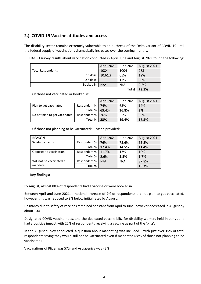## **2.) COVID 19 Vaccine attitudes and access**

The disability sector remains extremely vulnerable to an outbreak of the Delta variant of COVID-19 until the federal supply of vaccinations dramatically increases over the coming months.

HACSU survey results about vaccination conducted in April, June and August 2021 found the following:

|                          | April 2021 | June 2021 | August 2021 |
|--------------------------|------------|-----------|-------------|
| <b>Total Respondents</b> | 1084       | 1004      | 983         |
| $1st$ dose               | 10.61%     | 65%       | 19%         |
| $2nd$ dose               |            | 12%       | 58%         |
| Booked in                | N/A        | N/A       | 2.5%        |
|                          |            | Total     | 79.5%       |

Of those not vaccinated or booked in:

|                               |              | April 2021 | June 2021 | August 2021 |
|-------------------------------|--------------|------------|-----------|-------------|
| Plan to get vaccinated        | Respondent % | 74%        | 65%       | 14%         |
|                               | Total %      | 65.4%      | 36.8%     | 3%          |
| Do not plan to get vaccinated | Respondent % | 26%        | 35%       | 86%         |
|                               | Total %      | 23%        | 19.4%     | 17.5%       |

Of those not planning to be vaccinated: Reason provided:

| <b>REASON</b>             |                | April 2021 | June 2021 | August 2021 |
|---------------------------|----------------|------------|-----------|-------------|
| Safety concerns           | Respondent %   | 76%        | 75.6%     | 65.5%       |
|                           | Total %        | 17.4%      | 14.5%     | 11.4%       |
| Opposed to vaccination    | Respondent %   | 11.7%      | 13%       | 10%         |
|                           | <b>Total %</b> | 2.6%       | 2.5%      | 1.7%        |
| Will not be vaccinated if | Respondent %   | N/A        | N/A       | 87.8%       |
| mandated                  | Total %        |            |           | 15.3%       |

#### **Key findings:**

By August, almost 80% of respondents had a vaccine or were booked in.

Between April and June 2021, a notional increase of 9% of respondents did not plan to get vaccinated, however this was reduced to 8% below initial rates by August.

Hesitancy due to safety of vaccines remained constant from April to June, however decreased in August by about 10%.

Designated COVID vaccine hubs, and the dedicated vaccine blitz for disability workers held in early June had a positive impact with 22% of respondents receiving a vaccine as part of the 'blitz'.

In the August survey conducted, a question about mandating was included – with just over **15%** of total respondents saying they would still not be vaccinated even if mandated (88% of those not planning to be vaccinated)

Vaccinations of Pfizer was 57% and Astrazenica was 43%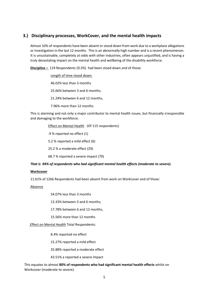## **3.) Disciplinary processes, WorkCover, and the mental health impacts**

Almost 10% of respondents have been absent or stood down from work due to a workplace allegations or investigation in the last 12 months. This is an abnormally high number and is a recent phenomenon. It is unsustainable, completely at odds with other industries, often appears unjustified, and is having a truly devastating impact on the mental health and wellbeing of the disability workforce.

**Discipline –** 119 Respondents (9.3%) had been stood down and of those:

Length of time stood down: 46.02% less than 3 months 25.66% between 3 and 6 months; 21.24% between 6 and 12 months, 7.96% more than 12 months

This is alarming and not only a major contributor to mental health issues, but financially irresponsible and damaging to the workforce.

Effect on Mental Health (Of 115 respondents)

.9 % reported no effect (1)

5.2 % reported a mild effect (6)

25.2 % a moderate effect (29)

68.7 % reported a severe impact (79)

#### *That is 94% of respondents who had significant mental health effects (moderate to severe).*

#### **Workcover**

11.61% of 1266 Respondents had been absent from work on Workcover and of those:

#### Absence

54.07% less than 3 months

13.33% between 3 and 6 months;

17.78% between 6 and 12 months,

15.56% more than 12 months

Effect on Mental Health Total Respondents:

8.4% reported no effect

15.27% reported a mild effect

35.88% reported a moderate effect

43.51% a reported a severe impact

This equates to almost **80% of respondents who had significant mental health effects** whilst on Workcover (moderate to severe).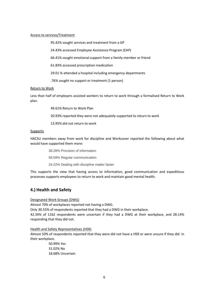#### Access to services/Treatment

95.42% sought services and treatment from a GP

24.43% accessed Employee Assistance Program (EAP)

66.41% sought emotional support from a family member or friend

61.83% accessed prescription medication

29.01 % attended a hospital including emergency departments

.76% sought no support or treatment (1 person)

#### Return to Work

Less than half of employers assisted workers to return to work through a formalised Return to Work plan.

49.61% Return to Work Plan

20.93% reported they were not adequately supported to return to work

13.95% did not return to work

#### Supports

HACSU members away from work for discipline and Workcover reported the following about what would have supported them more:

38.28% Provision of information

58.59% Regular communication

24.22% Dealing with discipline matter faster

This supports the view that having access to information, good communication and expeditious processes supports employees to return to work and maintain good mental health.

## **4.) Health and Safety**

#### Designated Work Groups (DWG)

Almost 70% of workplaces reported not having a DWG.

Only 30.55% of respondents reported that they had a DWG in their workplace.

42.34% of 1162 respondents were uncertain if they had a DWG at their workplace, and 28.14% responding that they did not.

#### Health and Safety Representatives (HSR)

Almost 50% of respondents reported that they were did not have a HSR or were unsure if they did in their workplace.

> 50.99% Yes 31.02% No 18.68% Uncertain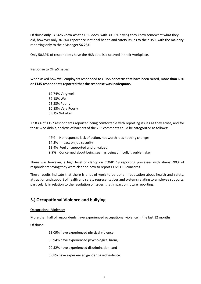Of those **only 57.56% knew what a HSR does**, with 30.08% saying they knew somewhat what they did, however only 36.74% report occupational health and safety issues to their HSR, with the majority reporting only to their Manager 56.28%.

Only 50.39% of respondents have the HSR details displayed in their workplace.

#### Response to OH&S issues

When asked how well employers responded to OH&S concerns that have been raised, **more than 60% or 1145 respondents reported that the response was inadequate.** 

> 19.74% Very well 39.13% Well 25.33% Poorly 10.83% Very Poorly 6.81% Not at all

72.83% of 1152 respondents reported being comfortable with reporting issues as they arose, and for those who didn't, analysis of barriers of the 283 comments could be categorized as follows:

- 47% No response, lack of action, not worth it as nothing changes 14.5% Impact on job security 13.4% Feel unsupported and unvalued
- 9.9% Concerned about being seen as being difficult/ troublemaker

There was however, a high level of clarity on COVID 19 reporting processes with almost 90% of respondents saying they were clear on how to report COVID 19 concerns

These results indicate that there is a lot of work to be done in education about health and safety, attraction and support of health and safety representatives and systems relating to employee supports, particularly in relation to the resolution of issues, that impact on future reporting.

## **5.) Occupational Violence and bullying**

#### Occupational Violence:

More than half of respondents have experienced occupational violence in the last 12 months.

Of those:

53.09% have experienced physical violence,

66.94% have experienced psychological harm,

20.52% have experienced discrimination, and

6.68% have experienced gender based violence.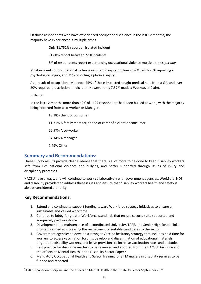Of those respondents who have experienced occupational violence in the last 12 months, the majority have experienced it multiple times.

Only 11.752% report an isolated incident

51.88% report between 2-10 incidents

5% of respondents report experiencing occupational violence multiple times *per day*.

Most incidents of occupational violence resulted in injury or illness (57%), with 76% reporting a psychological injury, and 31% reporting a physical injury.

As a result of occupational violence, 45% of those impacted sought medical help from a GP, and over 20% required prescription medication. However only 7.57% made a Workcover Claim.

Bullying:

In the last 12 months more than 40% of 1127 respondents had been bullied at work, with the majority being reported from a co-worker or Manager.

> 18.38% client or consumer 11.31% A family member, friend of carer of a client or consumer 56.97% A co-worker 54.14% A manager 9.49% Other

## **Summary and Recommendations:**

These survey results provide clear evidence that there is a lot more to be done to keep Disability workers safe from Occupational Violence and bullying, and better supported through issues of injury and disciplinary processes.

HACSU have always, and will continue to work collaboratively with government agencies, WorkSafe, NDS, and disability providers to address these issues and ensure that disability workers health and safety is always considered a priority.

## **Key Recommendations:**

- 1. Extend and continue to support funding toward Workforce strategy initiatives to ensure a sustainable and valued workforce
- 2. Continue to lobby for greater Workforce standards that ensure secure, safe, supported and adequately paid workforce
- 3. Development and maintenance of a coordinated University, TAFE, and Senior High School links programs aimed at increasing the recruitment of suitable candidates to the sector
- 4. Government agencies to develop a stronger Vaccine hesitancy strategy that includes paid time for workers to access vaccination forums, develop and dissemination of educational materials targeted to disability workers, and leave provisions to increase vaccination rates and attitude.
- 5. Best practice for discipline matters to be reviewed and adopted from the HACSU Discipline and the effects on Mental Health in the Disability Sector Paper<sup>3</sup>
- 6. Mandatory Occupational Health and Safety Training for all Managers in disability services to be funded and reported

<sup>&</sup>lt;sup>3</sup> HACSU paper on Discipline and the effects on Mental Health in the Disability Sector September 2021